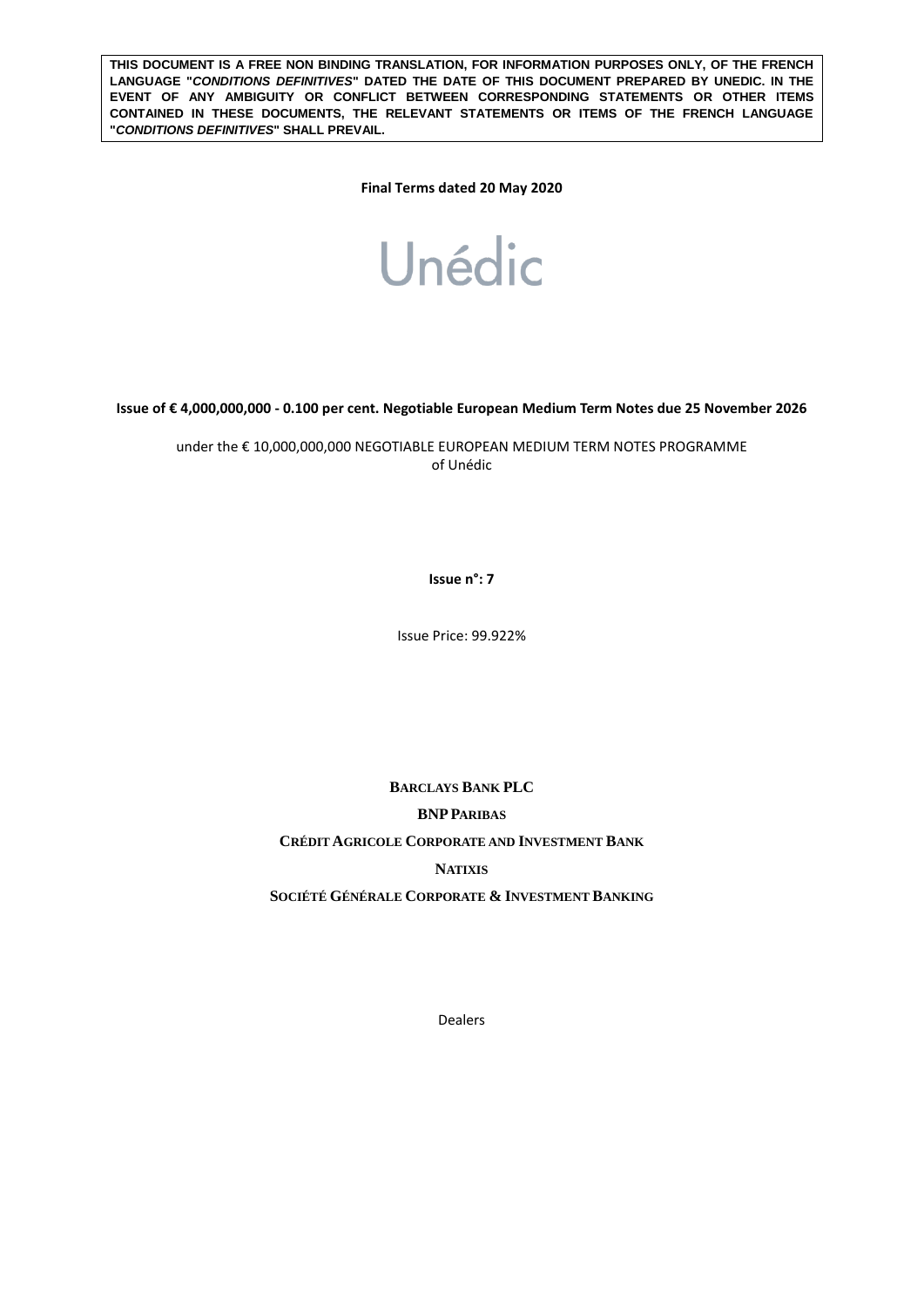**THIS DOCUMENT IS A FREE NON BINDING TRANSLATION, FOR INFORMATION PURPOSES ONLY, OF THE FRENCH LANGUAGE "***CONDITIONS DEFINITIVES***" DATED THE DATE OF THIS DOCUMENT PREPARED BY UNEDIC. IN THE EVENT OF ANY AMBIGUITY OR CONFLICT BETWEEN CORRESPONDING STATEMENTS OR OTHER ITEMS CONTAINED IN THESE DOCUMENTS, THE RELEVANT STATEMENTS OR ITEMS OF THE FRENCH LANGUAGE "***CONDITIONS DEFINITIVES***" SHALL PREVAIL.** 

**Final Terms dated 20 May 2020**



**Issue of € 4,000,000,000 - 0.100 per cent. Negotiable European Medium Term Notes due 25 November 2026**

under the € 10,000,000,000 NEGOTIABLE EUROPEAN MEDIUM TERM NOTES PROGRAMME of Unédic

**Issue n°: 7**

Issue Price: 99.922%

**BARCLAYS BANK PLC BNPPARIBAS CRÉDIT AGRICOLE CORPORATE AND INVESTMENT BANK NATIXIS SOCIÉTÉ GÉNÉRALE CORPORATE & INVESTMENT BANKING**

Dealers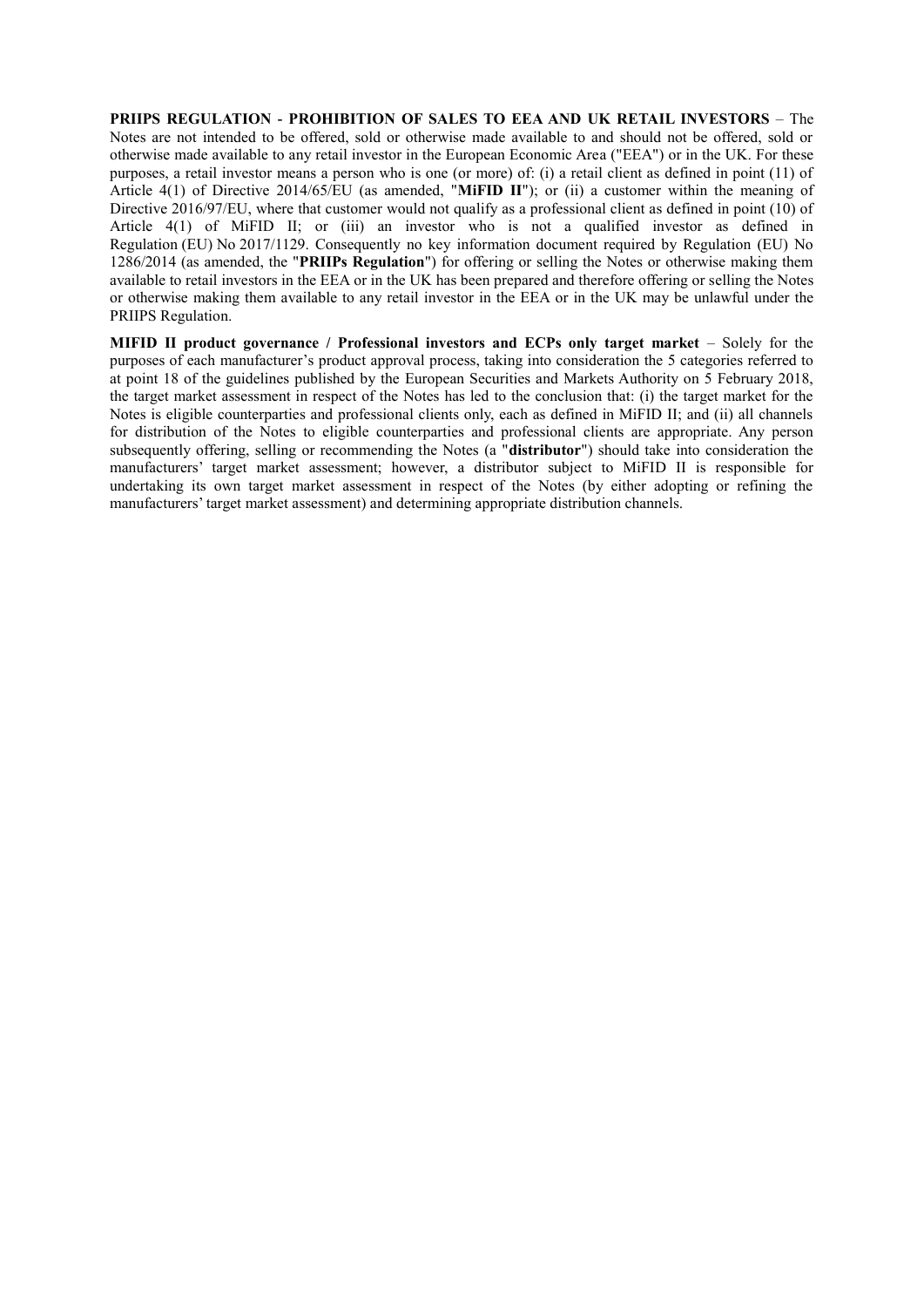**PRIIPS REGULATION - PROHIBITION OF SALES TO EEA AND UK RETAIL INVESTORS** – The Notes are not intended to be offered, sold or otherwise made available to and should not be offered, sold or otherwise made available to any retail investor in the European Economic Area ("EEA") or in the UK. For these purposes, a retail investor means a person who is one (or more) of: (i) a retail client as defined in point (11) of Article 4(1) of Directive 2014/65/EU (as amended, "**MiFID II**"); or (ii) a customer within the meaning of Directive 2016/97/EU, where that customer would not qualify as a professional client as defined in point (10) of Article 4(1) of MiFID II; or (iii) an investor who is not a qualified investor as defined in Regulation (EU) No 2017/1129. Consequently no key information document required by Regulation (EU) No 1286/2014 (as amended, the "**PRIIPs Regulation**") for offering or selling the Notes or otherwise making them available to retail investors in the EEA or in the UK has been prepared and therefore offering or selling the Notes or otherwise making them available to any retail investor in the EEA or in the UK may be unlawful under the PRIIPS Regulation.

**MIFID II product governance / Professional investors and ECPs only target market** – Solely for the purposes of each manufacturer's product approval process, taking into consideration the 5 categories referred to at point 18 of the guidelines published by the European Securities and Markets Authority on 5 February 2018, the target market assessment in respect of the Notes has led to the conclusion that: (i) the target market for the Notes is eligible counterparties and professional clients only, each as defined in MiFID II; and (ii) all channels for distribution of the Notes to eligible counterparties and professional clients are appropriate. Any person subsequently offering, selling or recommending the Notes (a "**distributor**") should take into consideration the manufacturers' target market assessment; however, a distributor subject to MiFID II is responsible for undertaking its own target market assessment in respect of the Notes (by either adopting or refining the manufacturers' target market assessment) and determining appropriate distribution channels.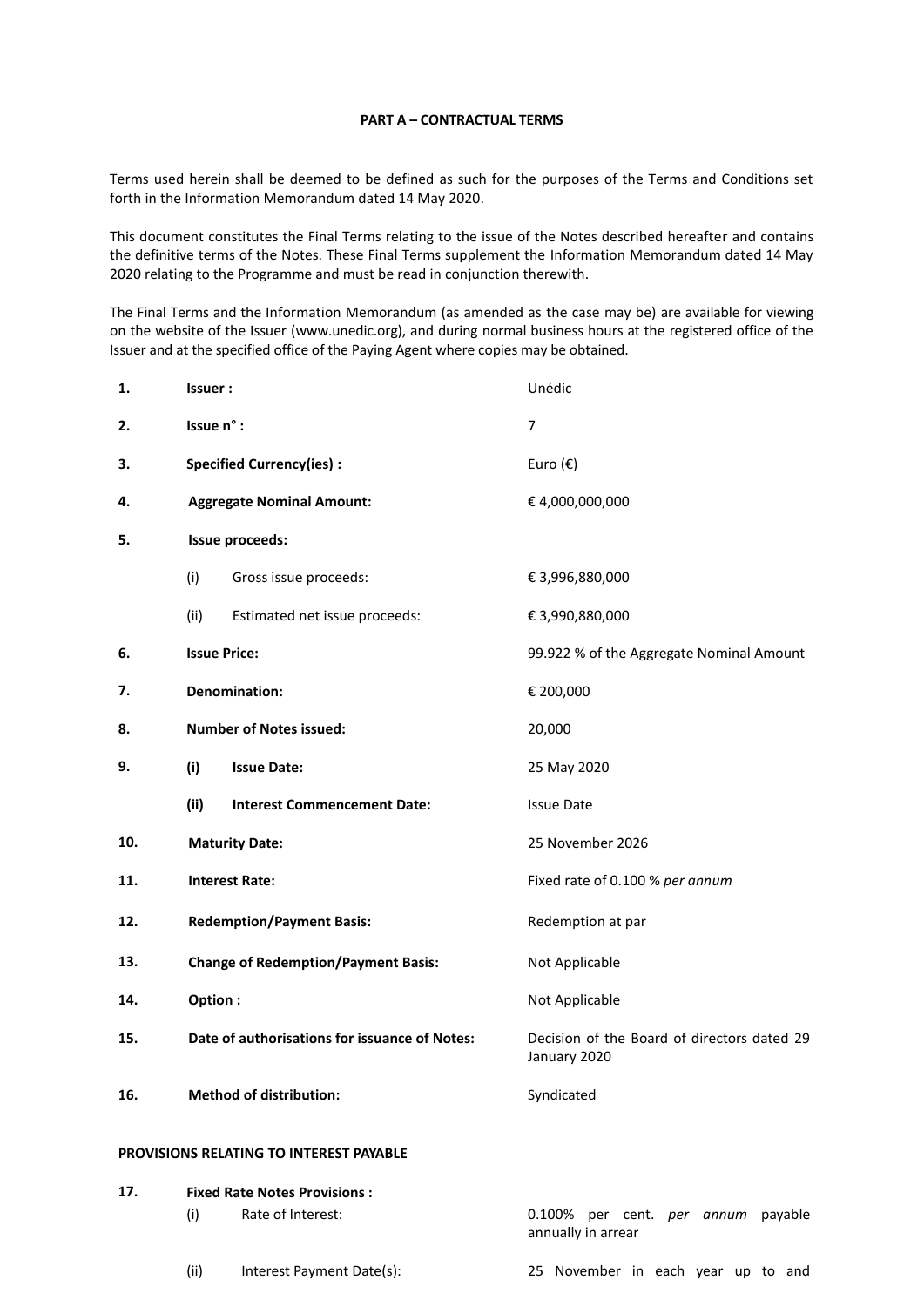### **PART A – CONTRACTUAL TERMS**

Terms used herein shall be deemed to be defined as such for the purposes of the Terms and Conditions set forth in the Information Memorandum dated 14 May 2020.

This document constitutes the Final Terms relating to the issue of the Notes described hereafter and contains the definitive terms of the Notes. These Final Terms supplement the Information Memorandum dated 14 May 2020 relating to the Programme and must be read in conjunction therewith.

The Final Terms and the Information Memorandum (as amended as the case may be) are available for viewing on the website of the Issuer (www.unedic.org), and during normal business hours at the registered office of the Issuer and at the specified office of the Paying Agent where copies may be obtained.

| 1.  | <b>Issuer:</b>                   |                                                | Unédic                                                      |
|-----|----------------------------------|------------------------------------------------|-------------------------------------------------------------|
| 2.  | Issue n° :                       |                                                | $\overline{7}$                                              |
| 3.  | <b>Specified Currency(ies):</b>  |                                                | Euro $(\epsilon)$                                           |
| 4.  | <b>Aggregate Nominal Amount:</b> |                                                | € 4,000,000,000                                             |
| 5.  |                                  | Issue proceeds:                                |                                                             |
|     | (i)                              | Gross issue proceeds:                          | € 3,996,880,000                                             |
|     | (ii)                             | Estimated net issue proceeds:                  | € 3,990,880,000                                             |
| 6.  | <b>Issue Price:</b>              |                                                | 99.922 % of the Aggregate Nominal Amount                    |
| 7.  | <b>Denomination:</b>             |                                                | € 200,000                                                   |
| 8.  |                                  | <b>Number of Notes issued:</b>                 | 20,000                                                      |
| 9.  | (i)                              | <b>Issue Date:</b>                             | 25 May 2020                                                 |
|     | (ii)                             | <b>Interest Commencement Date:</b>             | <b>Issue Date</b>                                           |
| 10. | <b>Maturity Date:</b>            |                                                | 25 November 2026                                            |
| 11. | <b>Interest Rate:</b>            |                                                | Fixed rate of 0.100 % per annum                             |
| 12. |                                  | <b>Redemption/Payment Basis:</b>               | Redemption at par                                           |
| 13. |                                  | <b>Change of Redemption/Payment Basis:</b>     | Not Applicable                                              |
| 14. | Option:                          |                                                | Not Applicable                                              |
| 15. |                                  | Date of authorisations for issuance of Notes:  | Decision of the Board of directors dated 29<br>January 2020 |
| 16. |                                  | <b>Method of distribution:</b>                 | Syndicated                                                  |
|     |                                  | <b>PROVISIONS RELATING TO INTEREST PAYABLE</b> |                                                             |
| 17. |                                  | <b>Fixed Rate Notes Provisions:</b>            |                                                             |
|     | (i)                              | Rate of Interest:                              | 0.100% per cent. per annum payable<br>annually in arrear    |
|     | (ii)                             | Interest Payment Date(s):                      | 25 November in each year up to and                          |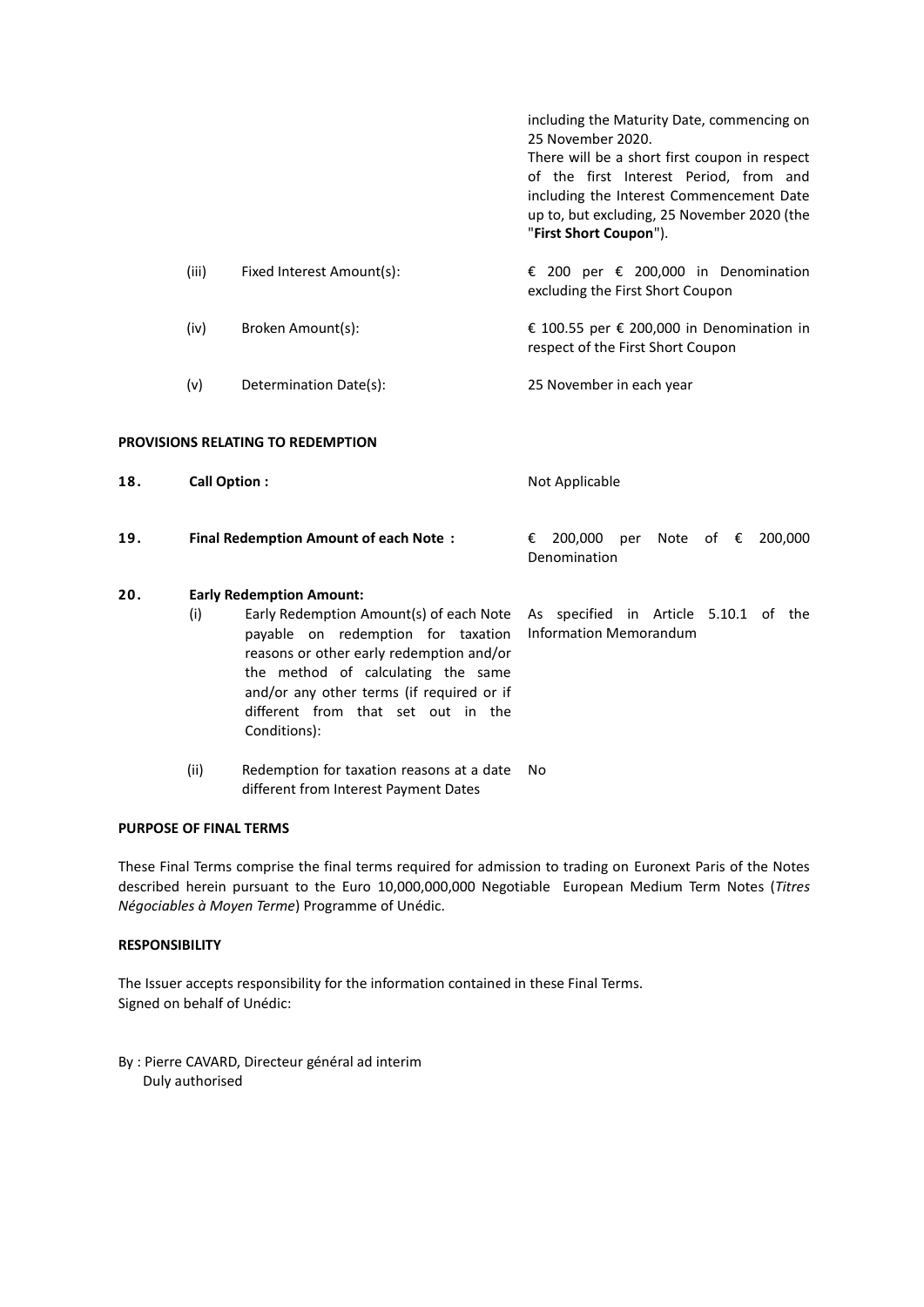|     |                     |                                                                                                                                                                                                                                                                                                       | including the Maturity Date, commencing on<br>25 November 2020.<br>There will be a short first coupon in respect<br>of the first Interest Period, from and<br>including the Interest Commencement Date<br>up to, but excluding, 25 November 2020 (the<br>"First Short Coupon"). |
|-----|---------------------|-------------------------------------------------------------------------------------------------------------------------------------------------------------------------------------------------------------------------------------------------------------------------------------------------------|---------------------------------------------------------------------------------------------------------------------------------------------------------------------------------------------------------------------------------------------------------------------------------|
|     | (iii)               | Fixed Interest Amount(s):                                                                                                                                                                                                                                                                             | € 200 per € 200,000 in Denomination<br>excluding the First Short Coupon                                                                                                                                                                                                         |
|     | (iv)                | Broken Amount(s):                                                                                                                                                                                                                                                                                     | € 100.55 per € 200,000 in Denomination in<br>respect of the First Short Coupon                                                                                                                                                                                                  |
|     | (v)                 | Determination Date(s):                                                                                                                                                                                                                                                                                | 25 November in each year                                                                                                                                                                                                                                                        |
|     |                     | <b>PROVISIONS RELATING TO REDEMPTION</b>                                                                                                                                                                                                                                                              |                                                                                                                                                                                                                                                                                 |
| 18. | <b>Call Option:</b> |                                                                                                                                                                                                                                                                                                       | Not Applicable                                                                                                                                                                                                                                                                  |
| 19. |                     | <b>Final Redemption Amount of each Note:</b>                                                                                                                                                                                                                                                          | 200,000<br>Note of $\epsilon$<br>200,000<br>€<br>per<br>Denomination                                                                                                                                                                                                            |
| 20. | (i)                 | <b>Early Redemption Amount:</b><br>Early Redemption Amount(s) of each Note<br>payable on redemption for taxation<br>reasons or other early redemption and/or<br>the method of calculating the same<br>and/or any other terms (if required or if<br>different from that set out in the<br>Conditions): | As specified in Article 5.10.1 of the<br><b>Information Memorandum</b>                                                                                                                                                                                                          |

(ii) Redemption for taxation reasons at a date No different from Interest Payment Dates

## **PURPOSE OF FINAL TERMS**

These Final Terms comprise the final terms required for admission to trading on Euronext Paris of the Notes described herein pursuant to the Euro 10,000,000,000 Negotiable European Medium Term Notes (*Titres Négociables à Moyen Terme*) Programme of Unédic.

# **RESPONSIBILITY**

The Issuer accepts responsibility for the information contained in these Final Terms. Signed on behalf of Unédic:

By : Pierre CAVARD, Directeur général ad interim Duly authorised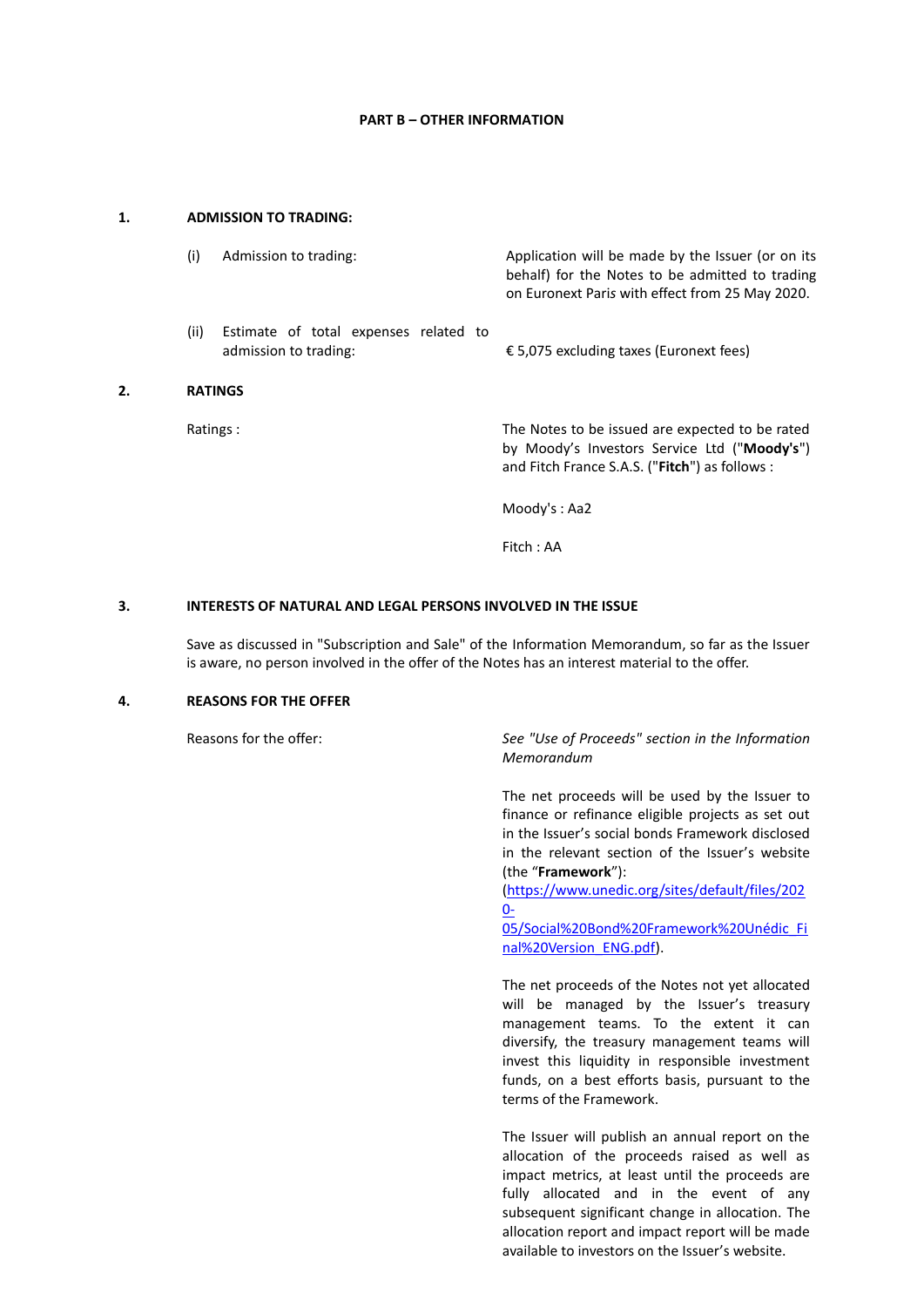#### **PART B – OTHER INFORMATION**

### **1. ADMISSION TO TRADING:**

|    | (i)            | Admission to trading:                                          | Application will be made by the Issuer (or on its<br>behalf) for the Notes to be admitted to trading<br>on Euronext Paris with effect from 25 May 2020. |
|----|----------------|----------------------------------------------------------------|---------------------------------------------------------------------------------------------------------------------------------------------------------|
|    | (ii)           | Estimate of total expenses related to<br>admission to trading: | € 5,075 excluding taxes (Euronext fees)                                                                                                                 |
| 2. | <b>RATINGS</b> |                                                                |                                                                                                                                                         |
|    | Ratings:       |                                                                | The Notes to be issued are expected to be rated<br>by Moody's Investors Service Ltd ("Moody's")<br>and Fitch France S.A.S. ("Fitch") as follows :       |
|    |                |                                                                | Modv's : Aa2                                                                                                                                            |
|    |                |                                                                | Fitch : AA                                                                                                                                              |

### **3. INTERESTS OF NATURAL AND LEGAL PERSONS INVOLVED IN THE ISSUE**

Save as discussed in "Subscription and Sale" of the Information Memorandum, so far as the Issuer is aware, no person involved in the offer of the Notes has an interest material to the offer.

#### **4. REASONS FOR THE OFFER**

Reasons for the offer: *See "Use of Proceeds" section in the Information Memorandum*

> The net proceeds will be used by the Issuer to finance or refinance eligible projects as set out in the Issuer's social bonds Framework disclosed in the relevant section of the Issuer's website (the "**Framework**"):

[\(https://www.unedic.org/sites/default/files/202](https://www.unedic.org/sites/default/files/2020-05/Social%20Bond%20Framework%20Unédic_Final%20Version_ENG.pdf)  $0 0-$ 

[05/Social%20Bond%20Framework%20Unédic\\_Fi](https://www.unedic.org/sites/default/files/2020-05/Social%20Bond%20Framework%20Unédic_Final%20Version_ENG.pdf) [nal%20Version\\_ENG.pdf\)](https://www.unedic.org/sites/default/files/2020-05/Social%20Bond%20Framework%20Unédic_Final%20Version_ENG.pdf).

The net proceeds of the Notes not yet allocated will be managed by the Issuer's treasury management teams. To the extent it can diversify, the treasury management teams will invest this liquidity in responsible investment funds, on a best efforts basis, pursuant to the terms of the Framework.

The Issuer will publish an annual report on the allocation of the proceeds raised as well as impact metrics, at least until the proceeds are fully allocated and in the event of any subsequent significant change in allocation. The allocation report and impact report will be made available to investors on the Issuer's website.